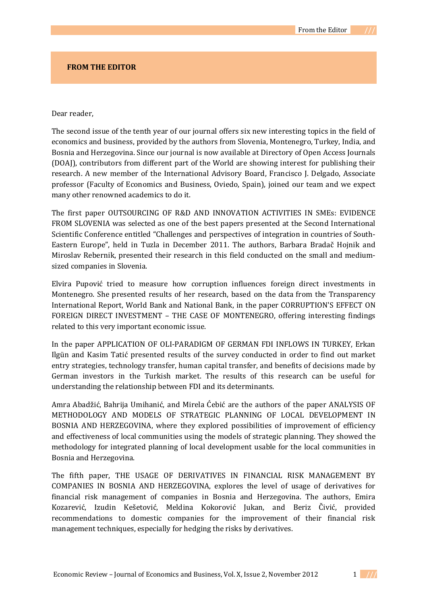## **FROM THE EDITOR**

## Dear reader,

The second issue of the tenth year of our journal offers six new interesting topics in the field of economics and business, provided by the authors from Slovenia, Montenegro, Turkey, India, and Bosnia and Herzegovina. Since our journal is now available at Directory of Open Access Journals (DOAJ), contributors from different part of the World are showing interest for publishing their research. A new member of the International Advisory Board, Francisco J. Delgado, Associate professor (Faculty of Economics and Business, Oviedo, Spain), joined our team and we expect many other renowned academics to do it.

The first paper OUTSOURCING OF R&D AND INNOVATION ACTIVITIES IN SMEs: EVIDENCE FROM SLOVENIA was selected as one of the best papers presented at the Second International Scientific Conference entitled "Challenges and perspectives of integration in countries of South-Eastern Europe", held in Tuzla in December 2011. The authors, Barbara Bradač Hojnik and Miroslav Rebernik, presented their research in this field conducted on the small and mediumsized companies in Slovenia.

Elvira Pupović tried to measure how corruption influences foreign direct investments in Montenegro. She presented results of her research, based on the data from the Transparency International Report, World Bank and National Bank, in the paper CORRUPTION'S EFFECT ON FOREIGN DIRECT INVESTMENT – THE CASE OF MONTENEGRO, offering interesting findings related to this very important economic issue.

In the paper APPLICATION OF OLI-PARADIGM OF GERMAN FDI INFLOWS IN TURKEY, Erkan Ilgün and Kasim Tatić presented results of the survey conducted in order to find out market entry strategies, technology transfer, human capital transfer, and benefits of decisions made by German investors in the Turkish market. The results of this research can be useful for understanding the relationship between FDI and its determinants.

Amra Abadžić, Bahrija Umihanić, and Mirela Ćebić are the authors of the paper ANALYSIS OF METHODOLOGY AND MODELS OF STRATEGIC PLANNING OF LOCAL DEVELOPMENT IN BOSNIA AND HERZEGOVINA, where they explored possibilities of improvement of efficiency and effectiveness of local communities using the models of strategic planning. They showed the methodology for integrated planning of local development usable for the local communities in Bosnia and Herzegovina.

The fifth paper, THE USAGE OF DERIVATIVES IN FINANCIAL RISK MANAGEMENT BY COMPANIES IN BOSNIA AND HERZEGOVINA, explores the level of usage of derivatives for financial risk management of companies in Bosnia and Herzegovina. The authors, Emira Kozarević, Izudin Kešetović, Meldina Kokorović Jukan, and Beriz Čivić, provided recommendations to domestic companies for the improvement of their financial risk management techniques, especially for hedging the risks by derivatives.